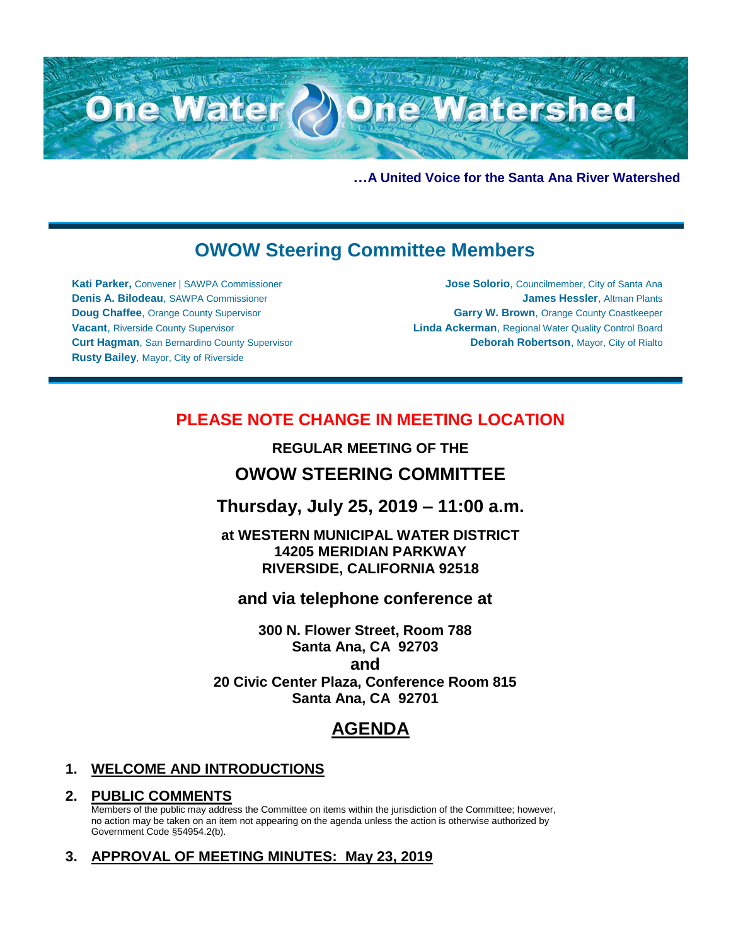

**…A United Voice for the Santa Ana River Watershed**

# **OWOW Steering Committee Members**

**Kati Parker,** Convener | SAWPA Commissioner **Denis A. Bilodeau**, SAWPA Commissioner **Doug Chaffee**, Orange County Supervisor **Vacant**, Riverside County Supervisor **Curt Hagman**, San Bernardino County Supervisor **Rusty Bailey**, Mayor, City of Riverside

**Jose Solorio**, Councilmember, City of Santa Ana **James Hessler**, Altman Plants **Garry W. Brown**, Orange County Coastkeeper **Linda Ackerman**, Regional Water Quality Control Board **Deborah Robertson**, Mayor, City of Rialto

## **PLEASE NOTE CHANGE IN MEETING LOCATION**

**REGULAR MEETING OF THE**

## **OWOW STEERING COMMITTEE**

**Thursday, July 25, 2019 – 11:00 a.m.**

**at WESTERN MUNICIPAL WATER DISTRICT 14205 MERIDIAN PARKWAY RIVERSIDE, CALIFORNIA 92518**

**and via telephone conference at**

**300 N. Flower Street, Room 788 Santa Ana, CA 92703 and 20 Civic Center Plaza, Conference Room 815 Santa Ana, CA 92701**

# **AGENDA**

### **1. WELCOME AND INTRODUCTIONS**

#### **2. PUBLIC COMMENTS**

Members of the public may address the Committee on items within the jurisdiction of the Committee; however, no action may be taken on an item not appearing on the agenda unless the action is otherwise authorized by Government Code §54954.2(b).

### **3. APPROVAL OF MEETING MINUTES: May 23, 2019**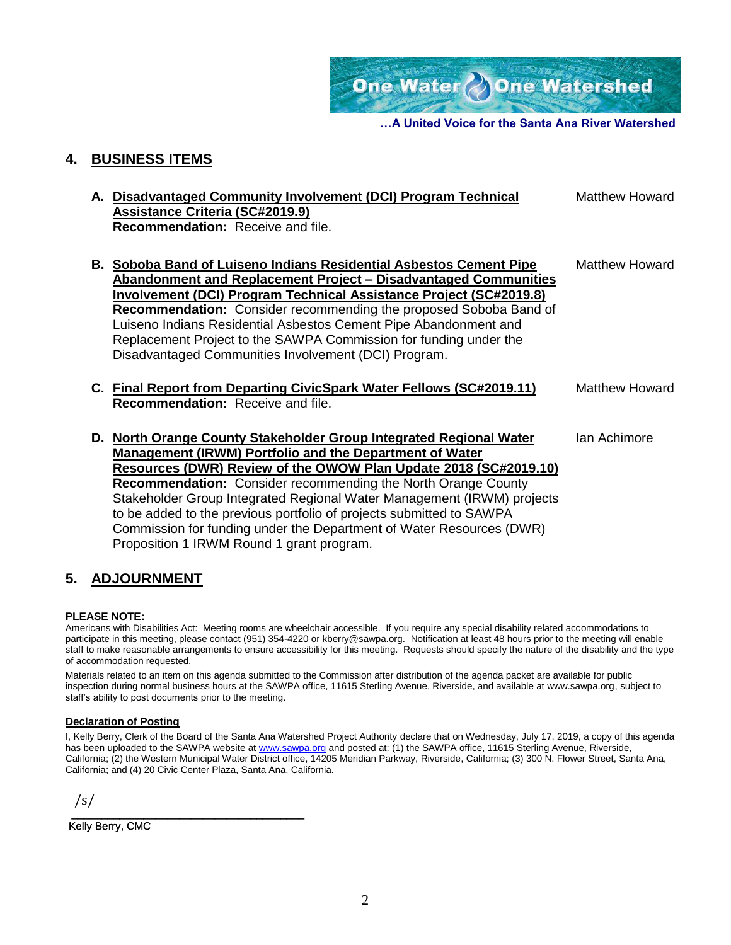One Water One Watershed

**…A United Voice for the Santa Ana River Watershed**

#### **4. BUSINESS ITEMS**

**A. Disadvantaged Community Involvement (DCI) Program Technical Assistance Criteria (SC#2019.9) Recommendation:** Receive and file. Matthew Howard **B. Soboba Band of Luiseno Indians Residential Asbestos Cement Pipe Abandonment and Replacement Project – Disadvantaged Communities Involvement (DCI) Program Technical Assistance Project (SC#2019.8) Recommendation:** Consider recommending the proposed Soboba Band of Luiseno Indians Residential Asbestos Cement Pipe Abandonment and Replacement Project to the SAWPA Commission for funding under the Disadvantaged Communities Involvement (DCI) Program. Matthew Howard **C. Final Report from Departing CivicSpark Water Fellows (SC#2019.11) Recommendation:** Receive and file. Matthew Howard **D. North Orange County Stakeholder Group Integrated Regional Water Management (IRWM) Portfolio and the Department of Water Resources (DWR) Review of the OWOW Plan Update 2018 (SC#2019.10) Recommendation:** Consider recommending the North Orange County Stakeholder Group Integrated Regional Water Management (IRWM) projects to be added to the previous portfolio of projects submitted to SAWPA Commission for funding under the Department of Water Resources (DWR) Ian Achimore

### **5. ADJOURNMENT**

Proposition 1 IRWM Round 1 grant program.

#### **PLEASE NOTE:**

Americans with Disabilities Act: Meeting rooms are wheelchair accessible. If you require any special disability related accommodations to participate in this meeting, please contact (951) 354-4220 or kberry@sawpa.org. Notification at least 48 hours prior to the meeting will enable staff to make reasonable arrangements to ensure accessibility for this meeting. Requests should specify the nature of the disability and the type of accommodation requested.

Materials related to an item on this agenda submitted to the Commission after distribution of the agenda packet are available for public inspection during normal business hours at the SAWPA office, 11615 Sterling Avenue, Riverside, and available at www.sawpa.org, subject to staff's ability to post documents prior to the meeting.

#### **Declaration of Posting**

I, Kelly Berry, Clerk of the Board of the Santa Ana Watershed Project Authority declare that on Wednesday, July 17, 2019, a copy of this agenda has been uploaded to the SAWPA website at [www.sawpa.org](http://www.sawpa.org/) and posted at: (1) the SAWPA office, 11615 Sterling Avenue, Riverside, California; (2) the Western Municipal Water District office, 14205 Meridian Parkway, Riverside, California; (3) 300 N. Flower Street, Santa Ana, California; and (4) 20 Civic Center Plaza, Santa Ana, California.

/s/

\_\_\_\_\_\_\_\_\_\_\_\_\_\_\_\_\_\_\_\_\_\_\_\_\_\_\_\_\_\_\_\_\_\_\_\_\_\_\_ Kelly Berry, CMC